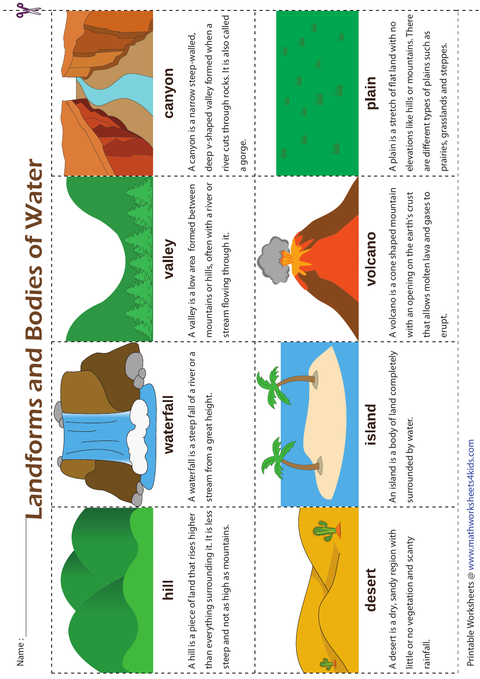| Name:                                                                                                                              | S<br>andforms                                                              | <b>Bodies of Water</b>                                                                                                        |                                                                                                                                                                      |
|------------------------------------------------------------------------------------------------------------------------------------|----------------------------------------------------------------------------|-------------------------------------------------------------------------------------------------------------------------------|----------------------------------------------------------------------------------------------------------------------------------------------------------------------|
|                                                                                                                                    |                                                                            |                                                                                                                               |                                                                                                                                                                      |
| lir<br>2                                                                                                                           | <b>waterfall</b>                                                           | valley                                                                                                                        | canyon                                                                                                                                                               |
| than everything surrounding it. It is less !<br>A hill is a piece of land that rises higher<br>steep and not as high as mountains. | A waterfall is a steep fall of a river or a<br>stream from a great height. | mountains or hills, often with a river or<br>A valley is a low area formed between<br>stream flowing through it.              | river cuts through rocks. It is also called<br>deep v-shaped valley formed when a<br>A canyon is a narrow steep-walled,<br>a gorge.                                  |
|                                                                                                                                    |                                                                            |                                                                                                                               |                                                                                                                                                                      |
| desert                                                                                                                             | island                                                                     | volcano                                                                                                                       | plain                                                                                                                                                                |
| A desert is a dry, sandy region with<br>little or no vegetation and scanty<br>rainfall.                                            | An island is a body of land completely<br>surrounded by water.             | A volcano is a cone shaped mountain<br>with an opening on the earth's crust<br>that allows molten lava and gases to<br>erupt. | elevations like hills or mountains. There<br>A plain is a stretch of flat land with no<br>are different types of plains such as<br>prairies, grasslands and steppes. |
| Printable Worksbeets @ www.matbworksbeetsdkids.com                                                                                 |                                                                            |                                                                                                                               |                                                                                                                                                                      |

Printable Worksheets @ www.mathworksheets4kids.com

 $\frac{1}{\sqrt{2}}$ 

Printable Worksheets @ www.mathworksheets4kids.com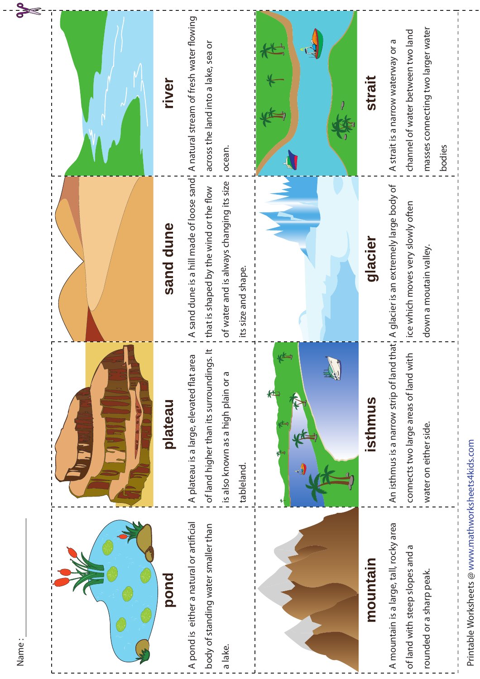| Name:                                                                                                  |                                                                                                                                          |                                                                                                                                                                                                |                                                                                                                         |
|--------------------------------------------------------------------------------------------------------|------------------------------------------------------------------------------------------------------------------------------------------|------------------------------------------------------------------------------------------------------------------------------------------------------------------------------------------------|-------------------------------------------------------------------------------------------------------------------------|
|                                                                                                        |                                                                                                                                          |                                                                                                                                                                                                |                                                                                                                         |
| pond                                                                                                   | plateau                                                                                                                                  | sand dune                                                                                                                                                                                      | river                                                                                                                   |
| A pond is either a natural or artificial<br>body of standing water smaller than<br>a lake.             | of land higher than its surroundings. It<br>A plateau is a large, elevated flat area<br>is also known as a high plain or a<br>tableland. | A sand dune is a hill made of loose sand, A natural stream of fresh water flowing<br>of water and is always changing its size<br>that is shaped by the wind or the flow<br>its size and shape. | across the land into a lake, sea or<br>ocean.                                                                           |
|                                                                                                        | تكفي                                                                                                                                     |                                                                                                                                                                                                | J                                                                                                                       |
| mountain                                                                                               | isthmus                                                                                                                                  | glacier                                                                                                                                                                                        | strait                                                                                                                  |
| A mountain is a large, tall, rocky area<br>of land with steep slopes and a<br>rounded or a sharp peak. | connects two large areas of land with<br>An isthmus is a narrow strip of land<br>water on either side.                                   | that, A glacier is an extremely large body of<br>ice which moves very slowly often<br>down a moutain valley.                                                                                   | masses connecting two larger water<br>channel of water between two land<br>A strait is a narrow waterway or a<br>bodies |
| Printable Worksheets @ www.mathworksheets4kids.com                                                     |                                                                                                                                          |                                                                                                                                                                                                |                                                                                                                         |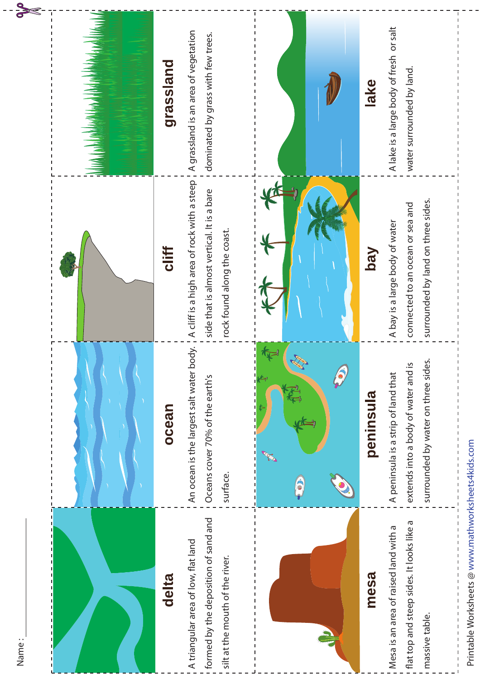